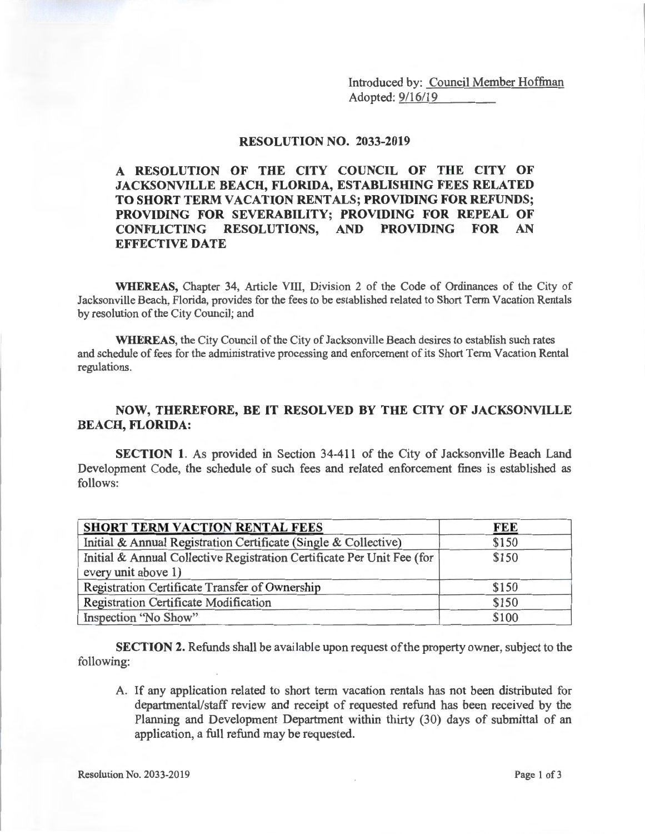Introduced by: <u>Council Member Hoffman</u><br>Adopted: <u>9/16/19</u>

## **RESOLUTION NO. 2033-2019**

**A RESOLUTION OF THE CITY COUNCIL OF THE CITY OF JACKSONVILLE BEACH, FLORIDA, ESTABLISHING FEES RELATED TO SHORT TERM VACATION RENTALS; PROVIDING FOR REFUNDS; PROVIDING FOR SEVERABILITY; PROVIDING FOR REPEAL OF CONFLICTING RESOLUTIONS, AND PROVIDING FOR AN EFFECTIVE DATE** 

**WHEREAS,** Chapter 34, Article VIII, Division 2 of the Code of Ordinances of the City of Jacksonville Beach, Florida, provides for the fees to be established related to Short Term Vacation Rentals by resolution of the City Council; and

**WHEREAS,** the City Council of the City of Jacksonville Beach desires to establish such rates and schedule of fees for the administrative processing and enforcement of its Short Term Vacation Rental regulations.

## **NOW, THEREFORE, BE IT RESOLVED BY THE CITY OF JACKSONVILLE BEACH, FLORIDA:**

**SECTION 1.** As provided in Section 34-411 of the City of Jacksonville Beach Land Development Code, the schedule of such fees and related enforcement fines is established as follows:

| <b>SHORT TERM VACTION RENTAL FEES</b>                                  | FEE   |
|------------------------------------------------------------------------|-------|
| Initial & Annual Registration Certificate (Single & Collective)        | \$150 |
| Initial & Annual Collective Registration Certificate Per Unit Fee (for | \$150 |
| every unit above 1)                                                    |       |
| Registration Certificate Transfer of Ownership                         | \$150 |
| <b>Registration Certificate Modification</b>                           | \$150 |
| Inspection "No Show"                                                   | \$100 |

**SECTION 2.** Refunds shall be available upon request of the property owner, subject to the following:

A. If any application related to short term vacation rentals has not been distributed for departmental/staff review and receipt of requested refund has been received by the Planning and Development Department within thirty (30) days of submittal of an application, a full refund may be requested.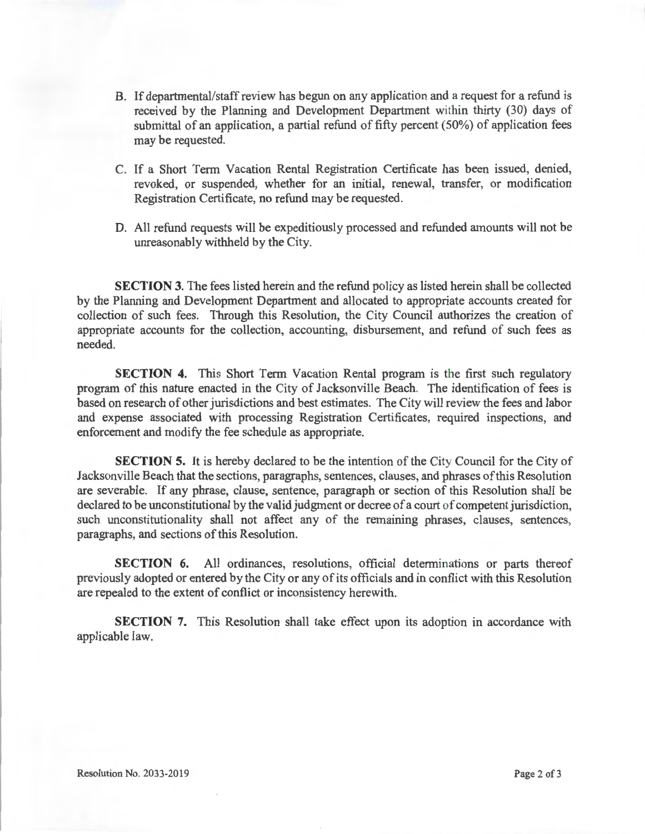- B. If departmental/staff review has begun on any application and a request for a refund is received by the Planning and Development Department within thirty (30) days of submittal of an application, a partial refund of fifty percent (50%) of application fees may be requested.
- C. If a Short Term Vacation Rental Registration Certificate has been issued, denied, revoked, or suspended, whether for an initial, renewal, transfer, or modification Registration Certificate, no refund may be requested.
- D. All refund requests will be expeditiously processed and refunded amounts will not be unreasonably withheld by the City.

**SECTION 3.** The fees listed herein and the refund policy as listed herein shall be collected by the Planning and Development Department and allocated to appropriate accounts created for collection of such fees. Through this Resolution, the City Council authorizes the creation of appropriate accounts for the collection, accounting, disbursement, and refund of such fees as needed.

**SECTION 4.** This Short Term Vacation Rental program is the first such regulatory program of this nature enacted in the City of Jacksonville Beach. The identification of fees is based on research of other jurisdictions and best estimates. The City will review the fees and labor and expense associated with processing Registration Certificates, required inspections, and enforcement and modify the fee schedule as appropriate.

**SECTION 5.** It is hereby declared to be the intention of the City Council for the City of Jacksonville Beach that the sections, paragraphs, sentences, clauses, and phrases of this Resolution are severable. If any phrase, clause, sentence, paragraph or section of this Resolution shall be declared to be unconstitutional by the valid judgment or decree of a court of competent jurisdiction, such unconstitutionality shall not affect any of the remaining phrases, clauses, sentences, paragraphs, and sections of this Resolution.

**SECTION 6.** All ordinances, resolutions, official determinations or parts thereof previously adopted or entered by the City or any of its officials and in conflict with this Resolution are repealed to the extent of conflict or inconsistency herewith.

**SECTION** 7. This Resolution shall take effect upon its adoption in accordance with applicable law.